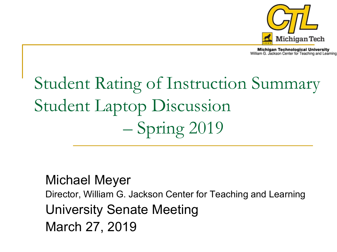

**Michigan Technological University** William G. Jackson Center for Teaching and Learning

# Student Rating of Instruction Summary Student Laptop Discussion – Spring 2019

#### Michael Meyer

Director, William G. Jackson Center for Teaching and Learning University Senate Meeting March 27, 2019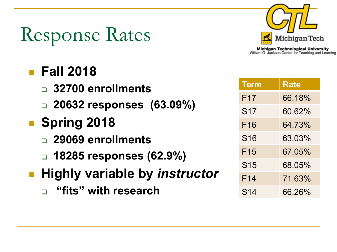# Response Rates



**Michigan Technological University** William G. Jackson Center for Teaching and Learning

#### **Fall 2018**

- **32700 enrollments**
- **20632 responses (63.09%)**

#### **Spring 2018**

- **29069 enrollments**
- **18285 responses (62.9%)**

#### **Highly variable by** *instructor*

**"fits" with research**

| <b>Term</b>     | Rate   |
|-----------------|--------|
| F <sub>17</sub> | 66.18% |
| S <sub>17</sub> | 60.62% |
| F <sub>16</sub> | 64.73% |
| <b>S16</b>      | 63.03% |
| F <sub>15</sub> | 67.05% |
| <b>S15</b>      | 68.05% |
| F <sub>14</sub> | 71.63% |
| S <sub>14</sub> | 66.26% |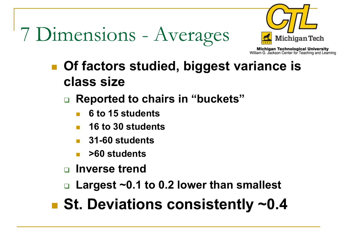# 7 Dimensions - Averages



**Michigan Technological University** William G. Jackson Center for Teaching and Learning

- Of factors studied, biggest variance is **class size**
	- **Reported to chairs in "buckets"**
		- **6 to 15 students**
		- **16 to 30 students**
		- **31-60 students**
		- **>60 students**
	- **Inverse trend**
	- **Largest ~0.1 to 0.2 lower than smallest**

■ St. Deviations consistently ~0.4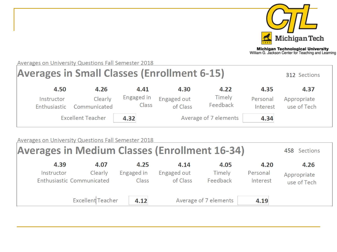

**Michigan Technological University**<br>William G. Jackson Center for Teaching and Learning

312 Sections

**Averages on University Questions Fall Semester 2018** 

#### **Averages in Small Classes (Enrollment 6-15)**

| 4.50                       | 4.26                     | 4.41                       | 4.30                    | 4.22                  | 4.35                 | 4.37                       |
|----------------------------|--------------------------|----------------------------|-------------------------|-----------------------|----------------------|----------------------------|
| Instructor<br>Enthusiastic | Clearly<br>Communicated  | Engaged in<br><b>Class</b> | Engaged out<br>of Class | Timely<br>Feedback    | Personal<br>Interest | Appropriate<br>use of Tech |
|                            | <b>Excellent Teacher</b> | 4.32                       |                         | Average of 7 elements | 4.34                 |                            |

#### **Averages on University Questions Fall Semester 2018**

| <b>Averages in Medium Classes (Enrollment 16-34)</b> |         |            |             |          |          | 458 Sections |
|------------------------------------------------------|---------|------------|-------------|----------|----------|--------------|
| 4.39                                                 | 4.07    | 4.25       | 4.14        | 4.05     | 4.20     | 4.26         |
| Instructor                                           | Clearly | Engaged in | Engaged out | Timely   | Personal | Appropriate  |
| Enthusiastic Communicated                            |         | Class      | of Class    | Feedback | Interest | use of Tech  |

| Excellent Teacher 4.12 | Average of 7 elements | 4.19 |  |
|------------------------|-----------------------|------|--|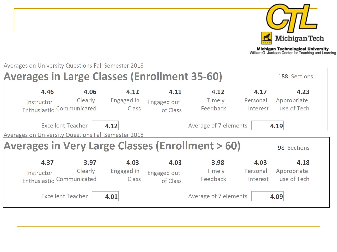

**Michigan Technological University**<br>William G. Jackson Center for Teaching and Learning

188 Sections

**Averages on University Questions Fall Semester 2018** 

#### **Averages in Large Classes (Enrollment 35-60)**

| 4.46<br>Instructor<br>Enthusiastic Communicated            | 4.06<br>Clearly | 4.12<br>Engaged in<br>Class | 4.11<br>Engaged out<br>of Class | 4.12<br>Timely<br>Feedback | 4.17<br>Personal<br>Interest | 4.23<br>Appropriate<br>use of Tech |
|------------------------------------------------------------|-----------------|-----------------------------|---------------------------------|----------------------------|------------------------------|------------------------------------|
| <b>Excellent Teacher</b>                                   | 4.12            |                             |                                 | Average of 7 elements      |                              | 4.19                               |
| <b>Averages on University Questions Fall Semester 2018</b> |                 |                             |                                 |                            |                              |                                    |
| <b>Averages in Very Large Classes (Enrollment &gt; 60)</b> |                 |                             |                                 |                            |                              | 98 Sections                        |
| 4.37                                                       | 3.97            | 4.03                        | 4.03                            | 3.98                       | 4.03                         | 4.18                               |
| Instructor<br>Enthusiastic Communicated                    | Clearly         | Engaged in<br>Class         | Engaged out<br>of Class         | Timely<br>Feedback         | Personal<br>Interest         | Appropriate<br>use of Tech         |
| <b>Excellent Teacher</b>                                   | 4.01            |                             |                                 | Average of 7 elements      |                              | 4.09                               |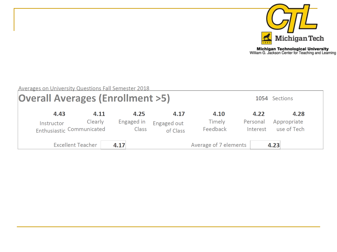

| <b>Averages on University Questions Fall Semester 2018</b><br><b>Overall Averages (Enrollment &gt;5)</b> |         |                     |                         |                           |                      | 1054 Sections              |
|----------------------------------------------------------------------------------------------------------|---------|---------------------|-------------------------|---------------------------|----------------------|----------------------------|
| 4.43                                                                                                     | 4.11    | 4.25                | 4.17                    | 4.10                      | 4.22                 | 4.28                       |
| Instructor<br>Enthusiastic Communicated                                                                  | Clearly | Engaged in<br>Class | Engaged out<br>of Class | <b>Timely</b><br>Feedback | Personal<br>Interest | Appropriate<br>use of Tech |
| <b>Excellent Teacher</b>                                                                                 |         | 4.17                |                         | Average of 7 elements     |                      | 4.23                       |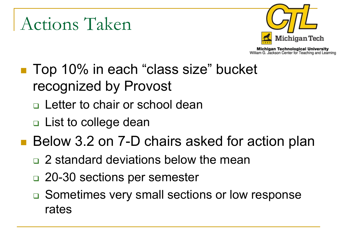## Actions Taken



- Top 10% in each "class size" bucket recognized by Provost
	- □ Letter to chair or school dean
	- □ List to college dean
- Below 3.2 on 7-D chairs asked for action plan
	- □ 2 standard deviations below the mean
	- □ 20-30 sections per semester
	- □ Sometimes very small sections or low response rates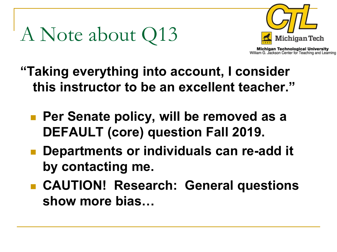# A Note about Q13



- **"Taking everything into account, I consider this instructor to be an excellent teacher."**
	- **Per Senate policy, will be removed as a DEFAULT (core) question Fall 2019.**
	- **Departments or individuals can re-add it by contacting me.**
	- **CAUTION! Research: General questions show more bias…**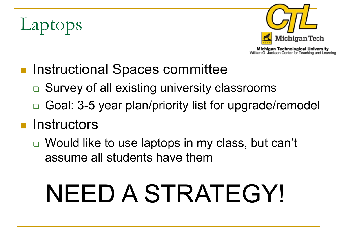# Laptops



- Instructional Spaces committee
	- **□ Survey of all existing university classrooms**
	- □ Goal: 3-5 year plan/priority list for upgrade/remodel

#### **n** Instructors

 Would like to use laptops in my class, but can't assume all students have them

# NEED A STRATEGY!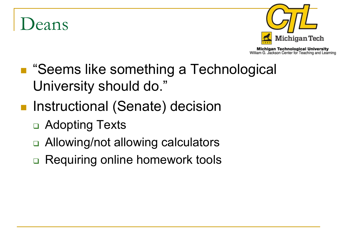## eans



- "Seems like something a Technological University should do."
- **Instructional (Senate) decision** 
	- □ Adopting Texts
	- □ Allowing/not allowing calculators
	- **□ Requiring online homework tools**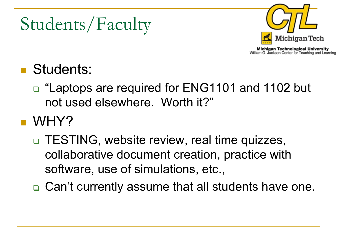# Students/Faculty



**Michigan Technological University** William G. Jackson Center for Teaching and Learning

### **Students:**

□ "Laptops are required for ENG1101 and 1102 but not used elsewhere. Worth it?"

#### **NHY?**

- □ TESTING, website review, real time quizzes, collaborative document creation, practice with software, use of simulations, etc.,
- **□ Can't currently assume that all students have one.**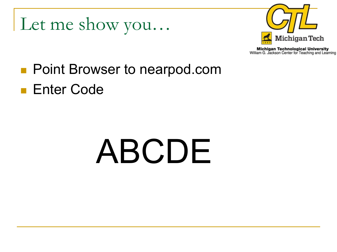Let me show you…



**Michigan Technological University** William G. Jackson Center for Teaching and Learning

### **Point Browser to nearpod.com Enter Code**

# ABCDE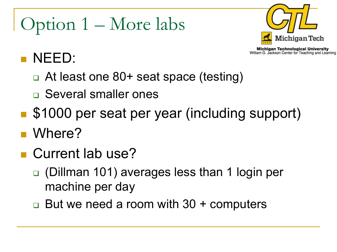# Option 1 – More labs



**Michigan Technological University** William G. Jackson Center for Teaching and Learning

#### NEED:

- □ At least one 80+ seat space (testing)
- Several smaller ones
- **S1000 per seat per year (including support)**
- Where?
- **Current lab use?** 
	- (Dillman 101) averages less than 1 login per machine per day
	- But we need a room with 30 + computers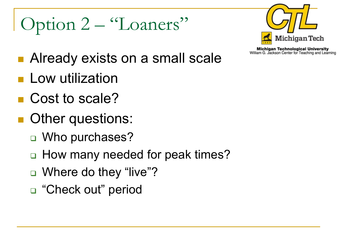# Option 2 – "Loaners"



- Already exists on a small scale
- **Low utilization**
- Cost to scale?
- **Other questions:** 
	- □ Who purchases?
	- □ How many needed for peak times?
	- □ Where do they "live"?
	- □ "Check out" period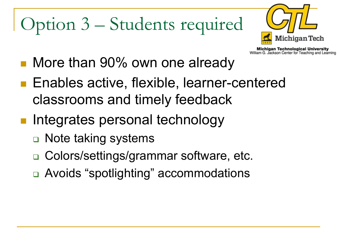# Option 3 – Students required



- More than 90% own one already
- Enables active, flexible, learner-centered classrooms and timely feedback
- Integrates personal technology
	- □ Note taking systems
	- Colors/settings/grammar software, etc.
	- Avoids "spotlighting" accommodations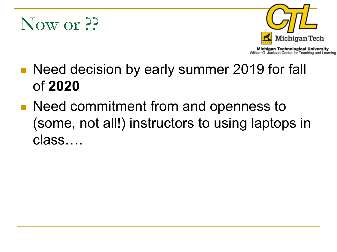## Now or ??



- **Need decision by early summer 2019 for fall** of **2020**
- Need commitment from and openness to (some, not all!) instructors to using laptops in class….